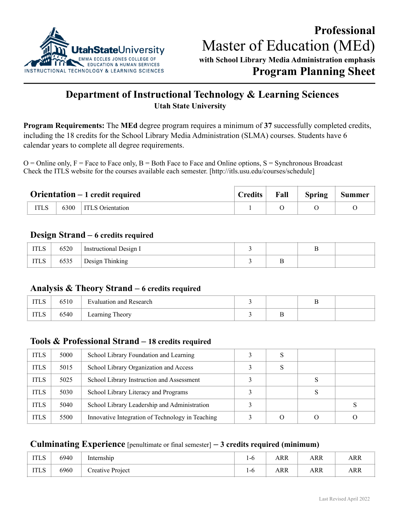

# **Department of Instructional Technology & Learning Sciences Utah State University**

**Program Requirements:** The **MEd** degree program requires a minimum of **37** successfully completed credits, including the 18 credits for the School Library Media Administration (SLMA) courses. Students have 6 calendar years to complete all degree requirements.

 $O =$ Online only,  $F =$  Face to Face only,  $B =$  Both Face to Face and Online options,  $S =$  Synchronous Broadcast Check the ITLS website for the courses available each semester. [http://itls.usu.edu/courses/schedule]

| $Orientation - 1 credit required$ |      | <b>Credits</b>          | Fall | <b>Spring</b> | <b>Summer</b> |  |
|-----------------------------------|------|-------------------------|------|---------------|---------------|--|
|                                   | 6300 | <b>ITLS</b> Orientation |      |               |               |  |

# **Design Strand – 6 credits required**

| <b>ITLS</b> | 6520 | Instructional Design I |    |  |
|-------------|------|------------------------|----|--|
| <b>ITLS</b> | 6535 | Design Thinking        | ., |  |

### **Analysis & Theory Strand – 6 credits required**

| 11 L.O | 6510 | Evaluation and Research       |          |  |
|--------|------|-------------------------------|----------|--|
| 11 L.O | 6540 | Theory<br>$\text{Learning}$ . | <u>.</u> |  |

# **Tools & Professional Strand – 18 credits required**

| <b>ITLS</b> | 5000 | School Library Foundation and Learning           | S                |  |
|-------------|------|--------------------------------------------------|------------------|--|
| <b>ITLS</b> | 5015 | School Library Organization and Access           | S                |  |
| <b>ITLS</b> | 5025 | School Library Instruction and Assessment        |                  |  |
| <b>ITLS</b> | 5030 | School Library Literacy and Programs             |                  |  |
| <b>ITLS</b> | 5040 | School Library Leadership and Administration     |                  |  |
| <b>ITLS</b> | 5500 | Innovative Integration of Technology in Teaching | $\left( \right)$ |  |

#### **Culminating Experience** [penultimate or final semester] **– 3 credits required (minimum)**

| <b>ITLS</b> | 6940 | $\cdot$ $\cdot$<br>Internship | 1-0 | ARR | ARR | ARR |
|-------------|------|-------------------------------|-----|-----|-----|-----|
| <b>ITLS</b> | 6960 | Creative Project              | 1-0 | ARR | ARR | ARR |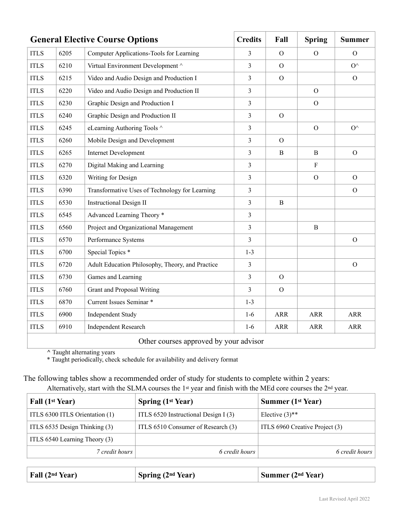| <b>General Elective Course Options</b> |      | <b>Credits</b>                                   | Fall           | <b>Spring</b>  | <b>Summer</b> |                |
|----------------------------------------|------|--------------------------------------------------|----------------|----------------|---------------|----------------|
| <b>ITLS</b>                            | 6205 | Computer Applications-Tools for Learning         | 3              | $\Omega$       | $\Omega$      | $\mathcal{O}$  |
| <b>ITLS</b>                            | 6210 | Virtual Environment Development ^                | 3              | $\Omega$       |               | $O^{\wedge}$   |
| <b>ITLS</b>                            | 6215 | Video and Audio Design and Production I          | $\overline{3}$ | $\mathbf{O}$   |               | $\mathcal{O}$  |
| <b>ITLS</b>                            | 6220 | Video and Audio Design and Production II         | $\overline{3}$ |                | $\Omega$      |                |
| <b>ITLS</b>                            | 6230 | Graphic Design and Production I                  | $\overline{3}$ |                | $\Omega$      |                |
| <b>ITLS</b>                            | 6240 | Graphic Design and Production II                 | $\overline{3}$ | $\overline{O}$ |               |                |
| <b>ITLS</b>                            | 6245 | eLearning Authoring Tools ^                      | $\overline{3}$ |                | $\mathcal{O}$ | $O^{\wedge}$   |
| <b>ITLS</b>                            | 6260 | Mobile Design and Development                    | $\overline{3}$ | $\overline{O}$ |               |                |
| <b>ITLS</b>                            | 6265 | <b>Internet Development</b>                      | $\overline{3}$ | B              | B             | $\Omega$       |
| <b>ITLS</b>                            | 6270 | Digital Making and Learning                      | $\overline{3}$ |                | $\rm F$       |                |
| <b>ITLS</b>                            | 6320 | Writing for Design                               | $\mathfrak{Z}$ |                | $\mathcal{O}$ | $\Omega$       |
| <b>ITLS</b>                            | 6390 | Transformative Uses of Technology for Learning   | $\mathfrak{Z}$ |                |               | $\mathcal{O}$  |
| <b>ITLS</b>                            | 6530 | <b>Instructional Design II</b>                   | 3              | B              |               |                |
| <b>ITLS</b>                            | 6545 | Advanced Learning Theory *                       | $\mathfrak{Z}$ |                |               |                |
| <b>ITLS</b>                            | 6560 | Project and Organizational Management            | $\overline{3}$ |                | $\mathbf B$   |                |
| <b>ITLS</b>                            | 6570 | Performance Systems                              | $\overline{3}$ |                |               | $\mathcal{O}$  |
| <b>ITLS</b>                            | 6700 | Special Topics <sup>*</sup>                      | $1-3$          |                |               |                |
| <b>ITLS</b>                            | 6720 | Adult Education Philosophy, Theory, and Practice | $\mathfrak{Z}$ |                |               | $\overline{O}$ |
| <b>ITLS</b>                            | 6730 | Games and Learning                               | $\overline{3}$ | $\overline{O}$ |               |                |
| <b>ITLS</b>                            | 6760 | <b>Grant and Proposal Writing</b>                | $\overline{3}$ | $\overline{O}$ |               |                |
| <b>ITLS</b>                            | 6870 | Current Issues Seminar *                         | $1-3$          |                |               |                |
| <b>ITLS</b>                            | 6900 | <b>Independent Study</b>                         | $1-6$          | <b>ARR</b>     | <b>ARR</b>    | <b>ARR</b>     |
| <b>ITLS</b>                            | 6910 | <b>Independent Research</b>                      | $1-6$          | <b>ARR</b>     | <b>ARR</b>    | <b>ARR</b>     |
| Other courses approved by your advisor |      |                                                  |                |                |               |                |

**^** Taught alternating years

\* Taught periodically, check schedule for availability and delivery format

# The following tables show a recommended order of study for students to complete within 2 years:

Alternatively, start with the SLMA courses the 1st year and finish with the MEd core courses the 2nd year.

| Fall (1 <sup>st</sup> Year)    | Spring $(1st Year)$                  | <b>Summer (1st Year)</b>       |
|--------------------------------|--------------------------------------|--------------------------------|
| ITLS 6300 ITLS Orientation (1) | ITLS 6520 Instructional Design I (3) | Elective $(3)$ <sup>**</sup>   |
| ITLS 6535 Design Thinking (3)  | ITLS 6510 Consumer of Research (3)   | ITLS 6960 Creative Project (3) |
| ITLS 6540 Learning Theory (3)  |                                      |                                |
| 7 credit hours                 | 6 credit hours                       | 6 credit hours                 |

| <b>Fall</b> (2 <sup>nd</sup> Year) | Spring (2 <sup>nd</sup> Year) | Summer (2 <sup>nd</sup> Year) |
|------------------------------------|-------------------------------|-------------------------------|
|------------------------------------|-------------------------------|-------------------------------|